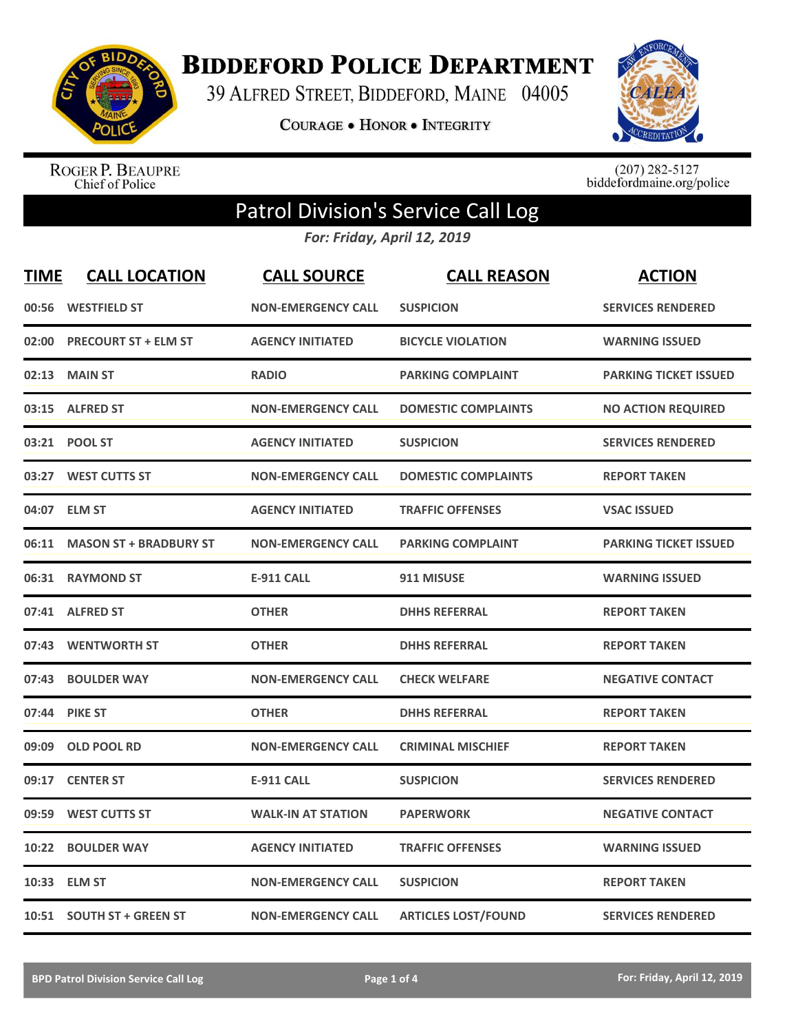

**BIDDEFORD POLICE DEPARTMENT** 

39 ALFRED STREET, BIDDEFORD, MAINE 04005

COURAGE . HONOR . INTEGRITY



ROGER P. BEAUPRE<br>Chief of Police

 $(207)$  282-5127<br>biddefordmaine.org/police

## Patrol Division's Service Call Log

*For: Friday, April 12, 2019*

| <b>TIME</b> | <b>CALL LOCATION</b>          | <b>CALL SOURCE</b>        | <b>CALL REASON</b>         | <b>ACTION</b>                |
|-------------|-------------------------------|---------------------------|----------------------------|------------------------------|
| 00:56       | <b>WESTFIELD ST</b>           | <b>NON-EMERGENCY CALL</b> | <b>SUSPICION</b>           | <b>SERVICES RENDERED</b>     |
| 02:00       | <b>PRECOURT ST + ELM ST</b>   | <b>AGENCY INITIATED</b>   | <b>BICYCLE VIOLATION</b>   | <b>WARNING ISSUED</b>        |
| 02:13       | <b>MAIN ST</b>                | <b>RADIO</b>              | <b>PARKING COMPLAINT</b>   | <b>PARKING TICKET ISSUED</b> |
| 03:15       | <b>ALFRED ST</b>              | <b>NON-EMERGENCY CALL</b> | <b>DOMESTIC COMPLAINTS</b> | <b>NO ACTION REQUIRED</b>    |
| 03:21       | <b>POOL ST</b>                | <b>AGENCY INITIATED</b>   | <b>SUSPICION</b>           | <b>SERVICES RENDERED</b>     |
| 03:27       | <b>WEST CUTTS ST</b>          | <b>NON-EMERGENCY CALL</b> | <b>DOMESTIC COMPLAINTS</b> | <b>REPORT TAKEN</b>          |
| 04:07       | <b>ELM ST</b>                 | <b>AGENCY INITIATED</b>   | <b>TRAFFIC OFFENSES</b>    | <b>VSAC ISSUED</b>           |
| 06:11       | <b>MASON ST + BRADBURY ST</b> | <b>NON-EMERGENCY CALL</b> | <b>PARKING COMPLAINT</b>   | <b>PARKING TICKET ISSUED</b> |
| 06:31       | <b>RAYMOND ST</b>             | <b>E-911 CALL</b>         | 911 MISUSE                 | <b>WARNING ISSUED</b>        |
| 07:41       | <b>ALFRED ST</b>              | <b>OTHER</b>              | <b>DHHS REFERRAL</b>       | <b>REPORT TAKEN</b>          |
| 07:43       | <b>WENTWORTH ST</b>           | <b>OTHER</b>              | <b>DHHS REFERRAL</b>       | <b>REPORT TAKEN</b>          |
| 07:43       | <b>BOULDER WAY</b>            | <b>NON-EMERGENCY CALL</b> | <b>CHECK WELFARE</b>       | <b>NEGATIVE CONTACT</b>      |
| 07:44       | <b>PIKE ST</b>                | <b>OTHER</b>              | <b>DHHS REFERRAL</b>       | <b>REPORT TAKEN</b>          |
| 09:09       | <b>OLD POOL RD</b>            | <b>NON-EMERGENCY CALL</b> | <b>CRIMINAL MISCHIEF</b>   | <b>REPORT TAKEN</b>          |
| 09:17       | <b>CENTER ST</b>              | <b>E-911 CALL</b>         | <b>SUSPICION</b>           | <b>SERVICES RENDERED</b>     |
| 09:59       | <b>WEST CUTTS ST</b>          | <b>WALK-IN AT STATION</b> | <b>PAPERWORK</b>           | <b>NEGATIVE CONTACT</b>      |
| 10:22       | <b>BOULDER WAY</b>            | <b>AGENCY INITIATED</b>   | <b>TRAFFIC OFFENSES</b>    | <b>WARNING ISSUED</b>        |
| 10:33       | <b>ELM ST</b>                 | <b>NON-EMERGENCY CALL</b> | <b>SUSPICION</b>           | <b>REPORT TAKEN</b>          |
|             | 10:51 SOUTH ST + GREEN ST     | <b>NON-EMERGENCY CALL</b> | <b>ARTICLES LOST/FOUND</b> | <b>SERVICES RENDERED</b>     |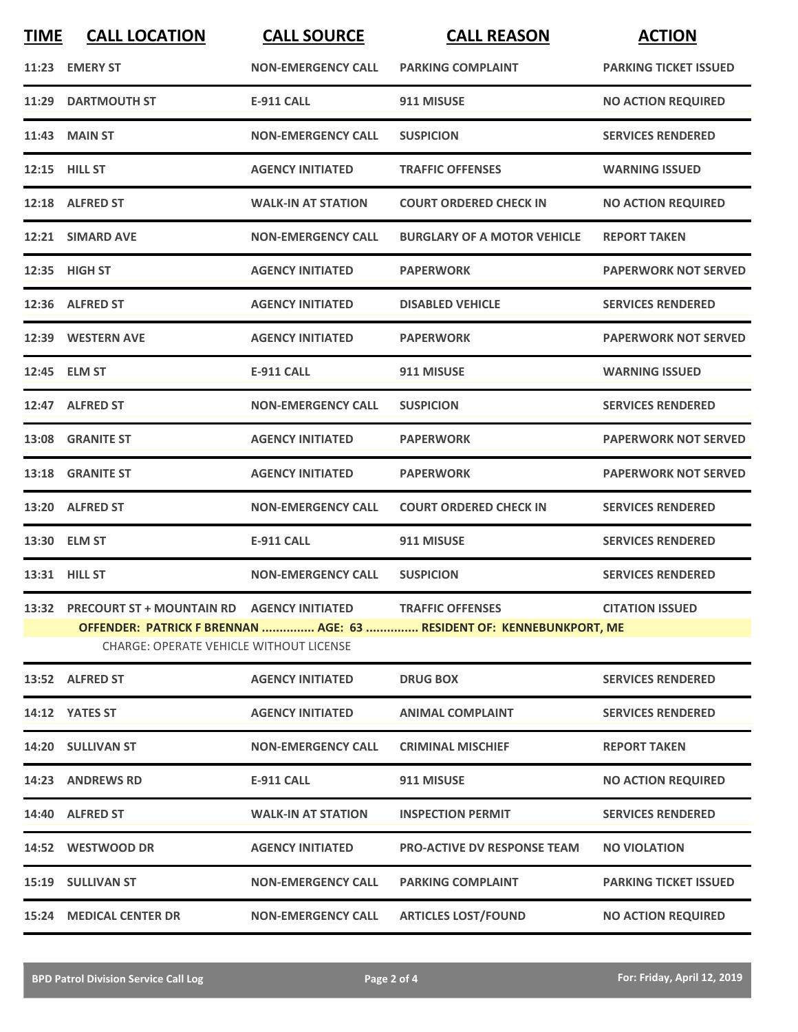| <b>TIME</b> | <b>CALL LOCATION</b>                                                                                                   | <b>CALL SOURCE</b>        | <b>CALL REASON</b>                 | <b>ACTION</b>                |  |
|-------------|------------------------------------------------------------------------------------------------------------------------|---------------------------|------------------------------------|------------------------------|--|
|             | 11:23 EMERY ST                                                                                                         | <b>NON-EMERGENCY CALL</b> | <b>PARKING COMPLAINT</b>           | <b>PARKING TICKET ISSUED</b> |  |
| 11:29       | <b>DARTMOUTH ST</b>                                                                                                    | <b>E-911 CALL</b>         | 911 MISUSE                         | <b>NO ACTION REQUIRED</b>    |  |
|             | 11:43 MAIN ST                                                                                                          | <b>NON-EMERGENCY CALL</b> | <b>SUSPICION</b>                   | <b>SERVICES RENDERED</b>     |  |
|             | <b>12:15 HILL ST</b>                                                                                                   | <b>AGENCY INITIATED</b>   | <b>TRAFFIC OFFENSES</b>            | <b>WARNING ISSUED</b>        |  |
|             | 12:18 ALFRED ST                                                                                                        | <b>WALK-IN AT STATION</b> | <b>COURT ORDERED CHECK IN</b>      | <b>NO ACTION REQUIRED</b>    |  |
|             | 12:21 SIMARD AVE                                                                                                       | <b>NON-EMERGENCY CALL</b> | <b>BURGLARY OF A MOTOR VEHICLE</b> | <b>REPORT TAKEN</b>          |  |
|             | 12:35 HIGH ST                                                                                                          | <b>AGENCY INITIATED</b>   | <b>PAPERWORK</b>                   | <b>PAPERWORK NOT SERVED</b>  |  |
| 12:36       | <b>ALFRED ST</b>                                                                                                       | <b>AGENCY INITIATED</b>   | <b>DISABLED VEHICLE</b>            | <b>SERVICES RENDERED</b>     |  |
|             | 12:39 WESTERN AVE                                                                                                      | <b>AGENCY INITIATED</b>   | <b>PAPERWORK</b>                   | <b>PAPERWORK NOT SERVED</b>  |  |
|             | 12:45 ELM ST                                                                                                           | <b>E-911 CALL</b>         | 911 MISUSE                         | <b>WARNING ISSUED</b>        |  |
|             | 12:47 ALFRED ST                                                                                                        | <b>NON-EMERGENCY CALL</b> | <b>SUSPICION</b>                   | <b>SERVICES RENDERED</b>     |  |
|             | 13:08 GRANITE ST                                                                                                       | <b>AGENCY INITIATED</b>   | <b>PAPERWORK</b>                   | <b>PAPERWORK NOT SERVED</b>  |  |
|             | 13:18 GRANITE ST                                                                                                       | <b>AGENCY INITIATED</b>   | <b>PAPERWORK</b>                   | <b>PAPERWORK NOT SERVED</b>  |  |
|             | 13:20 ALFRED ST                                                                                                        | <b>NON-EMERGENCY CALL</b> | <b>COURT ORDERED CHECK IN</b>      | <b>SERVICES RENDERED</b>     |  |
|             | 13:30 ELM ST                                                                                                           | <b>E-911 CALL</b>         | 911 MISUSE                         | <b>SERVICES RENDERED</b>     |  |
|             | 13:31 HILL ST                                                                                                          | <b>NON-EMERGENCY CALL</b> | <b>SUSPICION</b>                   | <b>SERVICES RENDERED</b>     |  |
|             | 13:32 PRECOURT ST + MOUNTAIN RD AGENCY INITIATED                                                                       |                           | <b>TRAFFIC OFFENSES</b>            | <b>CITATION ISSUED</b>       |  |
|             | OFFENDER: PATRICK F BRENNAN  AGE: 63  RESIDENT OF: KENNEBUNKPORT, ME<br><b>CHARGE: OPERATE VEHICLE WITHOUT LICENSE</b> |                           |                                    |                              |  |
|             | 13:52 ALFRED ST                                                                                                        | <b>AGENCY INITIATED</b>   | <b>DRUG BOX</b>                    | <b>SERVICES RENDERED</b>     |  |
|             | 14:12 YATES ST                                                                                                         | <b>AGENCY INITIATED</b>   | <b>ANIMAL COMPLAINT</b>            | <b>SERVICES RENDERED</b>     |  |
|             | 14:20 SULLIVAN ST                                                                                                      | <b>NON-EMERGENCY CALL</b> | <b>CRIMINAL MISCHIEF</b>           | <b>REPORT TAKEN</b>          |  |
|             | 14:23 ANDREWS RD                                                                                                       | <b>E-911 CALL</b>         | 911 MISUSE                         | <b>NO ACTION REQUIRED</b>    |  |
|             | 14:40 ALFRED ST                                                                                                        | <b>WALK-IN AT STATION</b> | <b>INSPECTION PERMIT</b>           | <b>SERVICES RENDERED</b>     |  |
|             | 14:52 WESTWOOD DR                                                                                                      | <b>AGENCY INITIATED</b>   | <b>PRO-ACTIVE DV RESPONSE TEAM</b> | <b>NO VIOLATION</b>          |  |
|             | 15:19 SULLIVAN ST                                                                                                      | <b>NON-EMERGENCY CALL</b> | <b>PARKING COMPLAINT</b>           | <b>PARKING TICKET ISSUED</b> |  |
| 15:24       | <b>MEDICAL CENTER DR</b>                                                                                               | <b>NON-EMERGENCY CALL</b> | <b>ARTICLES LOST/FOUND</b>         | <b>NO ACTION REQUIRED</b>    |  |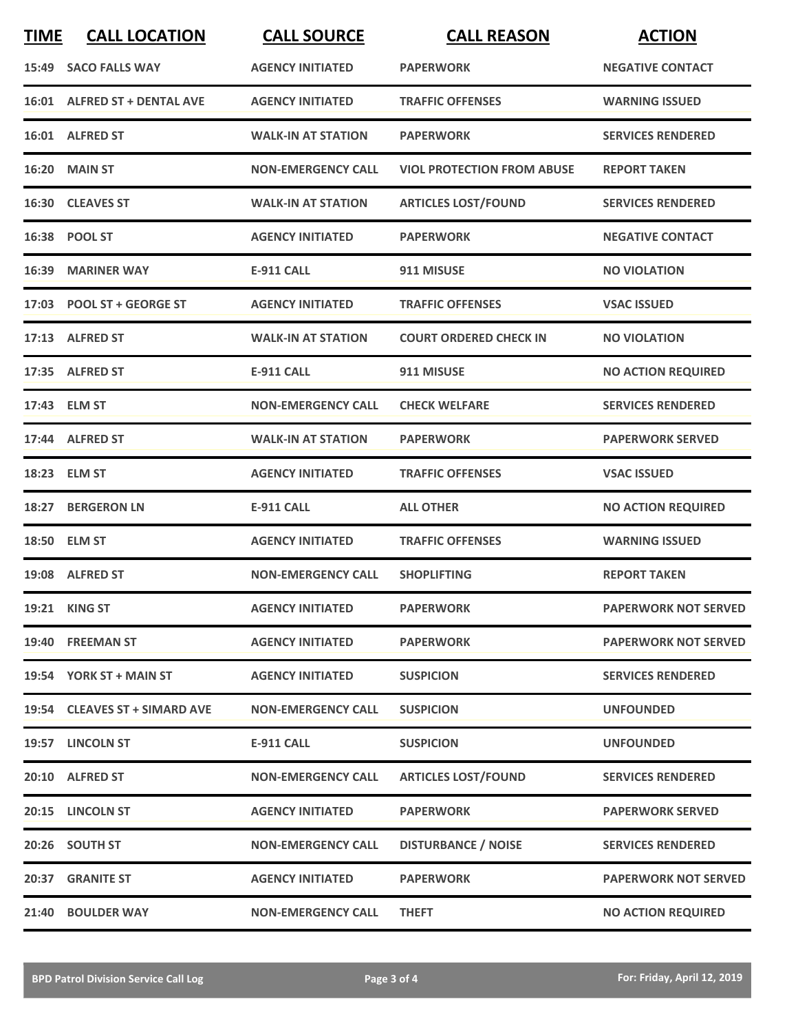| <b>TIME</b> | <b>CALL LOCATION</b>          | <b>CALL SOURCE</b>        | <b>CALL REASON</b>                | <b>ACTION</b>               |
|-------------|-------------------------------|---------------------------|-----------------------------------|-----------------------------|
|             | 15:49 SACO FALLS WAY          | <b>AGENCY INITIATED</b>   | <b>PAPERWORK</b>                  | <b>NEGATIVE CONTACT</b>     |
|             | 16:01 ALFRED ST + DENTAL AVE  | <b>AGENCY INITIATED</b>   | <b>TRAFFIC OFFENSES</b>           | <b>WARNING ISSUED</b>       |
|             | 16:01 ALFRED ST               | <b>WALK-IN AT STATION</b> | <b>PAPERWORK</b>                  | <b>SERVICES RENDERED</b>    |
|             | <b>16:20 MAIN ST</b>          | <b>NON-EMERGENCY CALL</b> | <b>VIOL PROTECTION FROM ABUSE</b> | <b>REPORT TAKEN</b>         |
|             | 16:30 CLEAVES ST              | <b>WALK-IN AT STATION</b> | <b>ARTICLES LOST/FOUND</b>        | <b>SERVICES RENDERED</b>    |
|             | 16:38 POOL ST                 | <b>AGENCY INITIATED</b>   | <b>PAPERWORK</b>                  | <b>NEGATIVE CONTACT</b>     |
|             | 16:39 MARINER WAY             | <b>E-911 CALL</b>         | 911 MISUSE                        | <b>NO VIOLATION</b>         |
|             | 17:03 POOL ST + GEORGE ST     | <b>AGENCY INITIATED</b>   | <b>TRAFFIC OFFENSES</b>           | <b>VSAC ISSUED</b>          |
|             | 17:13 ALFRED ST               | <b>WALK-IN AT STATION</b> | <b>COURT ORDERED CHECK IN</b>     | <b>NO VIOLATION</b>         |
|             | 17:35 ALFRED ST               | <b>E-911 CALL</b>         | 911 MISUSE                        | <b>NO ACTION REQUIRED</b>   |
|             | 17:43 ELM ST                  | <b>NON-EMERGENCY CALL</b> | <b>CHECK WELFARE</b>              | <b>SERVICES RENDERED</b>    |
|             | 17:44 ALFRED ST               | <b>WALK-IN AT STATION</b> | <b>PAPERWORK</b>                  | <b>PAPERWORK SERVED</b>     |
|             | 18:23 ELM ST                  | <b>AGENCY INITIATED</b>   | <b>TRAFFIC OFFENSES</b>           | <b>VSAC ISSUED</b>          |
|             | 18:27 BERGERON LN             | <b>E-911 CALL</b>         | <b>ALL OTHER</b>                  | <b>NO ACTION REQUIRED</b>   |
|             | 18:50 ELM ST                  | <b>AGENCY INITIATED</b>   | <b>TRAFFIC OFFENSES</b>           | <b>WARNING ISSUED</b>       |
|             | 19:08 ALFRED ST               | <b>NON-EMERGENCY CALL</b> | <b>SHOPLIFTING</b>                | <b>REPORT TAKEN</b>         |
|             | 19:21 KING ST                 | <b>AGENCY INITIATED</b>   | <b>PAPERWORK</b>                  | <b>PAPERWORK NOT SERVED</b> |
|             | 19:40 FREEMAN ST              | <b>AGENCY INITIATED</b>   | <b>PAPERWORK</b>                  | <b>PAPERWORK NOT SERVED</b> |
|             | 19:54 YORK ST + MAIN ST       | <b>AGENCY INITIATED</b>   | <b>SUSPICION</b>                  | <b>SERVICES RENDERED</b>    |
|             | 19:54 CLEAVES ST + SIMARD AVE | <b>NON-EMERGENCY CALL</b> | <b>SUSPICION</b>                  | <b>UNFOUNDED</b>            |
|             | 19:57 LINCOLN ST              | <b>E-911 CALL</b>         | <b>SUSPICION</b>                  | <b>UNFOUNDED</b>            |
|             | 20:10 ALFRED ST               | <b>NON-EMERGENCY CALL</b> | <b>ARTICLES LOST/FOUND</b>        | <b>SERVICES RENDERED</b>    |
|             | 20:15 LINCOLN ST              | <b>AGENCY INITIATED</b>   | <b>PAPERWORK</b>                  | <b>PAPERWORK SERVED</b>     |
|             | 20:26 SOUTH ST                | <b>NON-EMERGENCY CALL</b> | <b>DISTURBANCE / NOISE</b>        | <b>SERVICES RENDERED</b>    |
|             | 20:37 GRANITE ST              | <b>AGENCY INITIATED</b>   | <b>PAPERWORK</b>                  | <b>PAPERWORK NOT SERVED</b> |
|             | 21:40 BOULDER WAY             | <b>NON-EMERGENCY CALL</b> | <b>THEFT</b>                      | <b>NO ACTION REQUIRED</b>   |